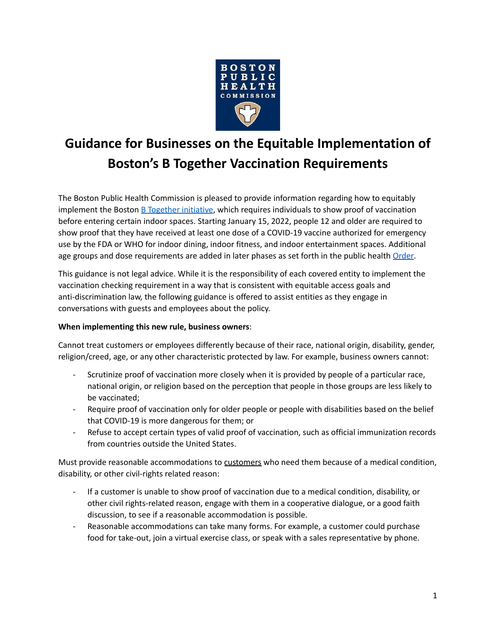

# **Guidance for Businesses on the Equitable Implementation of Boston's B Together Vaccination Requirements**

The Boston Public Health Commission is pleased to provide information regarding how to equitably implement the Boston **B** [Together](https://www.boston.gov/departments/mayors-office/introducing-b-together) initiative, which requires individuals to show proof of vaccination before entering certain indoor spaces. Starting January 15, 2022, people 12 and older are required to show proof that they have received at least one dose of a COVID-19 vaccine authorized for emergency use by the FDA or WHO for indoor dining, indoor fitness, and indoor entertainment spaces. Additional age groups and dose requirements are added in later phases as set forth in the public health [Order](https://www.boston.gov/sites/default/files/file/2021/12/BPHC-Indoor-Vaccination-Order-12-20-21.pdf).

This guidance is not legal advice. While it is the responsibility of each covered entity to implement the vaccination checking requirement in a way that is consistent with equitable access goals and anti-discrimination law, the following guidance is offered to assist entities as they engage in conversations with guests and employees about the policy.

## **When implementing this new rule, business owners**:

Cannot treat customers or employees differently because of their race, national origin, disability, gender, religion/creed, age, or any other characteristic protected by law. For example, business owners cannot:

- Scrutinize proof of vaccination more closely when it is provided by people of a particular race, national origin, or religion based on the perception that people in those groups are less likely to be vaccinated;
- Require proof of vaccination only for older people or people with disabilities based on the belief that COVID-19 is more dangerous for them; or
- Refuse to accept certain types of valid proof of vaccination, such as official immunization records from countries outside the United States.

Must provide reasonable accommodations to customers who need them because of a medical condition, disability, or other civil-rights related reason:

- If a customer is unable to show proof of vaccination due to a medical condition, disability, or other civil rights-related reason, engage with them in a cooperative dialogue, or a good faith discussion, to see if a reasonable accommodation is possible.
- Reasonable accommodations can take many forms. For example, a customer could purchase food for take-out, join a virtual exercise class, or speak with a sales representative by phone.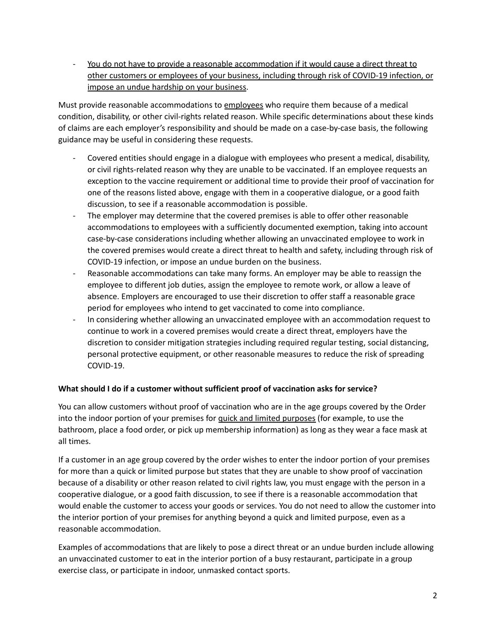You do not have to provide a reasonable accommodation if it would cause a direct threat to other customers or employees of your business, including through risk of COVID-19 infection, or impose an undue hardship on your business.

Must provide reasonable accommodations to employees who require them because of a medical condition, disability, or other civil-rights related reason. While specific determinations about these kinds of claims are each employer's responsibility and should be made on a case-by-case basis, the following guidance may be useful in considering these requests.

- Covered entities should engage in a dialogue with employees who present a medical, disability, or civil rights-related reason why they are unable to be vaccinated. If an employee requests an exception to the vaccine requirement or additional time to provide their proof of vaccination for one of the reasons listed above, engage with them in a cooperative dialogue, or a good faith discussion, to see if a reasonable accommodation is possible.
- The employer may determine that the covered premises is able to offer other reasonable accommodations to employees with a sufficiently documented exemption, taking into account case-by-case considerations including whether allowing an unvaccinated employee to work in the covered premises would create a direct threat to health and safety, including through risk of COVID-19 infection, or impose an undue burden on the business.
- Reasonable accommodations can take many forms. An employer may be able to reassign the employee to different job duties, assign the employee to remote work, or allow a leave of absence. Employers are encouraged to use their discretion to offer staff a reasonable grace period for employees who intend to get vaccinated to come into compliance.
- In considering whether allowing an unvaccinated employee with an accommodation request to continue to work in a covered premises would create a direct threat, employers have the discretion to consider mitigation strategies including required regular testing, social distancing, personal protective equipment, or other reasonable measures to reduce the risk of spreading COVID-19.

## **What should I do if a customer without sufficient proof of vaccination asks for service?**

You can allow customers without proof of vaccination who are in the age groups covered by the Order into the indoor portion of your premises for quick and limited purposes (for example, to use the bathroom, place a food order, or pick up membership information) as long as they wear a face mask at all times.

If a customer in an age group covered by the order wishes to enter the indoor portion of your premises for more than a quick or limited purpose but states that they are unable to show proof of vaccination because of a disability or other reason related to civil rights law, you must engage with the person in a cooperative dialogue, or a good faith discussion, to see if there is a reasonable accommodation that would enable the customer to access your goods or services. You do not need to allow the customer into the interior portion of your premises for anything beyond a quick and limited purpose, even as a reasonable accommodation.

Examples of accommodations that are likely to pose a direct threat or an undue burden include allowing an unvaccinated customer to eat in the interior portion of a busy restaurant, participate in a group exercise class, or participate in indoor, unmasked contact sports.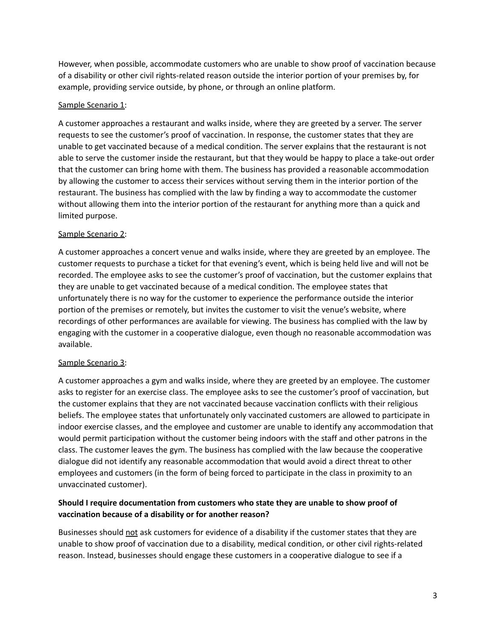However, when possible, accommodate customers who are unable to show proof of vaccination because of a disability or other civil rights-related reason outside the interior portion of your premises by, for example, providing service outside, by phone, or through an online platform.

#### Sample Scenario 1:

A customer approaches a restaurant and walks inside, where they are greeted by a server. The server requests to see the customer's proof of vaccination. In response, the customer states that they are unable to get vaccinated because of a medical condition. The server explains that the restaurant is not able to serve the customer inside the restaurant, but that they would be happy to place a take-out order that the customer can bring home with them. The business has provided a reasonable accommodation by allowing the customer to access their services without serving them in the interior portion of the restaurant. The business has complied with the law by finding a way to accommodate the customer without allowing them into the interior portion of the restaurant for anything more than a quick and limited purpose.

#### Sample Scenario 2:

A customer approaches a concert venue and walks inside, where they are greeted by an employee. The customer requests to purchase a ticket for that evening's event, which is being held live and will not be recorded. The employee asks to see the customer's proof of vaccination, but the customer explains that they are unable to get vaccinated because of a medical condition. The employee states that unfortunately there is no way for the customer to experience the performance outside the interior portion of the premises or remotely, but invites the customer to visit the venue's website, where recordings of other performances are available for viewing. The business has complied with the law by engaging with the customer in a cooperative dialogue, even though no reasonable accommodation was available.

## Sample Scenario 3:

A customer approaches a gym and walks inside, where they are greeted by an employee. The customer asks to register for an exercise class. The employee asks to see the customer's proof of vaccination, but the customer explains that they are not vaccinated because vaccination conflicts with their religious beliefs. The employee states that unfortunately only vaccinated customers are allowed to participate in indoor exercise classes, and the employee and customer are unable to identify any accommodation that would permit participation without the customer being indoors with the staff and other patrons in the class. The customer leaves the gym. The business has complied with the law because the cooperative dialogue did not identify any reasonable accommodation that would avoid a direct threat to other employees and customers (in the form of being forced to participate in the class in proximity to an unvaccinated customer).

## **Should I require documentation from customers who state they are unable to show proof of vaccination because of a disability or for another reason?**

Businesses should not ask customers for evidence of a disability if the customer states that they are unable to show proof of vaccination due to a disability, medical condition, or other civil rights-related reason. Instead, businesses should engage these customers in a cooperative dialogue to see if a